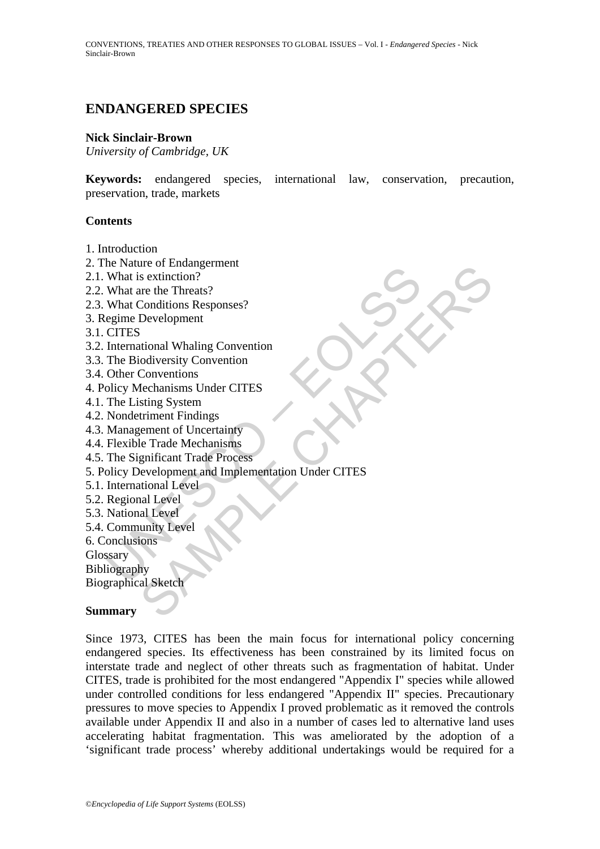# **ENDANGERED SPECIES**

#### **Nick Sinclair-Brown**

*University of Cambridge, UK* 

**Keywords:** endangered species, international law, conservation, precaution, preservation, trade, markets

### **Contents**

- 1. Introduction
- 2. The Nature of Endangerment
- 2.1. What is extinction?
- 2.2. What are the Threats?
- 2.3. What Conditions Responses?
- 3. Regime Development
- 3.1. CITES
- 3.2. International Whaling Convention
- 3.3. The Biodiversity Convention
- 3.4. Other Conventions
- 4. Policy Mechanisms Under CITES
- 4.1. The Listing System
- 4.2. Nondetriment Findings
- 4.3. Management of Uncertainty
- 4.4. Flexible Trade Mechanisms
- 4.5. The Significant Trade Process
- Exame of Entertaing<br>
What is extinction?<br>
What is extinction?<br>
What are the Threats?<br>
What are the Threats?<br>
What Conditions Responses?<br>
egime Development<br>
CITES<br>
The Biodiversity Convention<br>
The Biodiversity Convention<br>
O Frame or Entrangement<br>
or Sextinction?<br>
Sextinction?<br>
The thermats's<br>
Conditions Responses?<br>
Convertions<br>
Convertions<br>
Seconding Convention<br>
Convertions<br>
step (see Convertion)<br>
the declarations under CITES<br>
sting System<br>
t 5. Policy Development and Implementation Under CITES
- 5.1. International Level
- 5.2. Regional Level
- 5.3. National Level
- 5.4. Community Level
- 6. Conclusions

**Glossary** 

Bibliography

Biographical Sketch

#### **Summary**

Since 1973, CITES has been the main focus for international policy concerning endangered species. Its effectiveness has been constrained by its limited focus on interstate trade and neglect of other threats such as fragmentation of habitat. Under CITES, trade is prohibited for the most endangered "Appendix I" species while allowed under controlled conditions for less endangered "Appendix II" species. Precautionary pressures to move species to Appendix I proved problematic as it removed the controls available under Appendix II and also in a number of cases led to alternative land uses accelerating habitat fragmentation. This was ameliorated by the adoption of a 'significant trade process' whereby additional undertakings would be required for a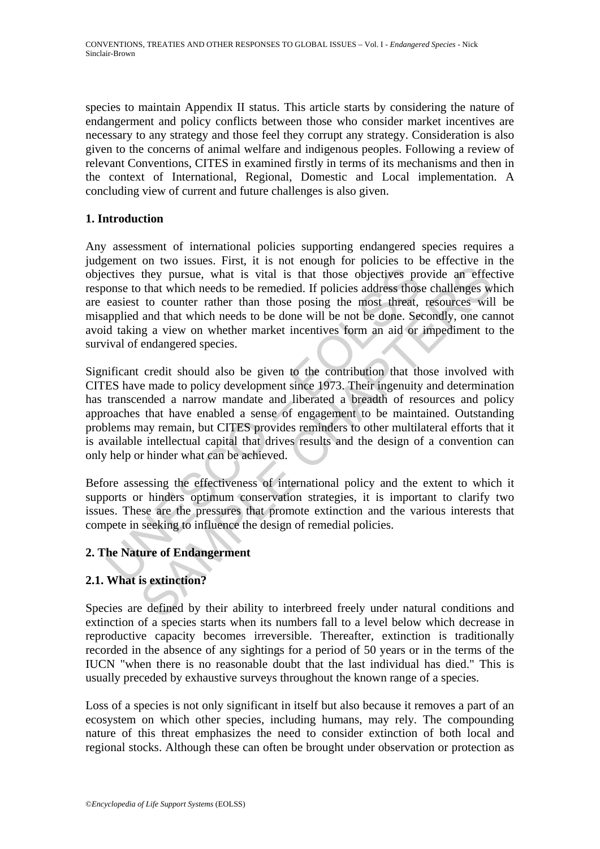species to maintain Appendix II status. This article starts by considering the nature of endangerment and policy conflicts between those who consider market incentives are necessary to any strategy and those feel they corrupt any strategy. Consideration is also given to the concerns of animal welfare and indigenous peoples. Following a review of relevant Conventions, CITES in examined firstly in terms of its mechanisms and then in the context of International, Regional, Domestic and Local implementation. A concluding view of current and future challenges is also given.

## **1. Introduction**

Any assessment of international policies supporting endangered species requires a judgement on two issues. First, it is not enough for policies to be effective in the objectives they pursue, what is vital is that those objectives provide an effective response to that which needs to be remedied. If policies address those challenges which are easiest to counter rather than those posing the most threat, resources will be misapplied and that which needs to be done will be not be done. Secondly, one cannot avoid taking a view on whether market incentives form an aid or impediment to the survival of endangered species.

citives they pursue, what is vital is that those objectives promes to that which needs to be remedied. If policies address those easiest to counter rather than those posing the most threat, applied and that which needs to they pursue, what is vital is that those objectives provide an effect<br>they pursue, what is vital is that those objectives provide an effect<br>that which needs to be remedied. If policies address those challenges w<br>and that w Significant credit should also be given to the contribution that those involved with CITES have made to policy development since 1973. Their ingenuity and determination has transcended a narrow mandate and liberated a breadth of resources and policy approaches that have enabled a sense of engagement to be maintained. Outstanding problems may remain, but CITES provides reminders to other multilateral efforts that it is available intellectual capital that drives results and the design of a convention can only help or hinder what can be achieved.

Before assessing the effectiveness of international policy and the extent to which it supports or hinders optimum conservation strategies, it is important to clarify two issues. These are the pressures that promote extinction and the various interests that compete in seeking to influence the design of remedial policies.

## **2. The Nature of Endangerment**

## **2.1. What is extinction?**

Species are defined by their ability to interbreed freely under natural conditions and extinction of a species starts when its numbers fall to a level below which decrease in reproductive capacity becomes irreversible. Thereafter, extinction is traditionally recorded in the absence of any sightings for a period of 50 years or in the terms of the IUCN "when there is no reasonable doubt that the last individual has died." This is usually preceded by exhaustive surveys throughout the known range of a species.

Loss of a species is not only significant in itself but also because it removes a part of an ecosystem on which other species, including humans, may rely. The compounding nature of this threat emphasizes the need to consider extinction of both local and regional stocks. Although these can often be brought under observation or protection as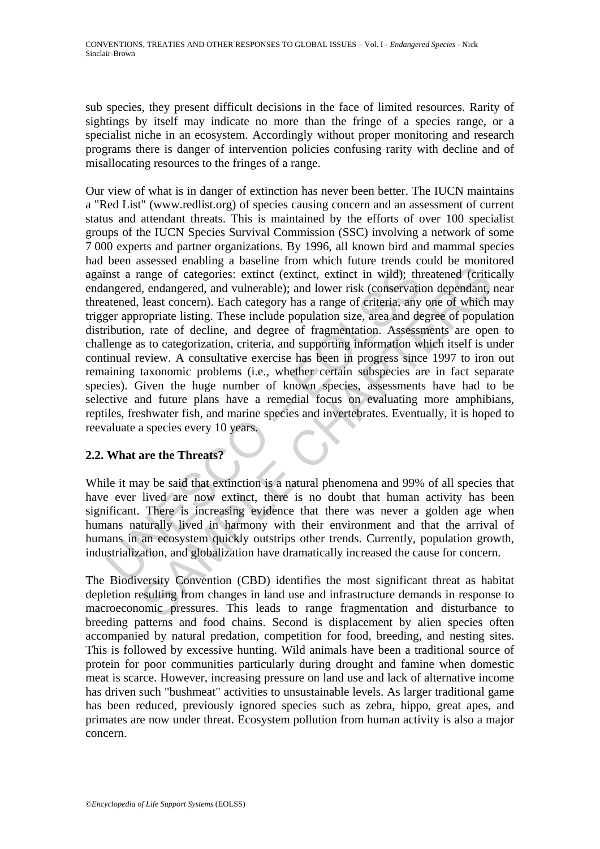sub species, they present difficult decisions in the face of limited resources. Rarity of sightings by itself may indicate no more than the fringe of a species range, or a specialist niche in an ecosystem. Accordingly without proper monitoring and research programs there is danger of intervention policies confusing rarity with decline and of misallocating resources to the fringes of a range.

not a range of categories: extinct (extinct, extinct in wild); thus<br>engered, endangered, and vulnerable); and lower risk (conservation<br>atened, least concern). Each category has a range of criteria, any<br>ger appropriate list ange of categories: extinct (extinct, extinct in wild); threatened (critic, and angered, and vulnerable); and lower risk (conservation dependant, least concern). Each category has a range of critica, any one of which are r Our view of what is in danger of extinction has never been better. The IUCN maintains a "Red List" (www.redlist.org) of species causing concern and an assessment of current status and attendant threats. This is maintained by the efforts of over 100 specialist groups of the IUCN Species Survival Commission (SSC) involving a network of some 7 000 experts and partner organizations. By 1996, all known bird and mammal species had been assessed enabling a baseline from which future trends could be monitored against a range of categories: extinct (extinct, extinct in wild); threatened (critically endangered, endangered, and vulnerable); and lower risk (conservation dependant, near threatened, least concern). Each category has a range of criteria, any one of which may trigger appropriate listing. These include population size, area and degree of population distribution, rate of decline, and degree of fragmentation. Assessments are open to challenge as to categorization, criteria, and supporting information which itself is under continual review. A consultative exercise has been in progress since 1997 to iron out remaining taxonomic problems (i.e., whether certain subspecies are in fact separate species). Given the huge number of known species, assessments have had to be selective and future plans have a remedial focus on evaluating more amphibians, reptiles, freshwater fish, and marine species and invertebrates. Eventually, it is hoped to reevaluate a species every 10 years.

## **2.2. What are the Threats?**

While it may be said that extinction is a natural phenomena and 99% of all species that have ever lived are now extinct, there is no doubt that human activity has been significant. There is increasing evidence that there was never a golden age when humans naturally lived in harmony with their environment and that the arrival of humans in an ecosystem quickly outstrips other trends. Currently, population growth, industrialization, and globalization have dramatically increased the cause for concern.

The Biodiversity Convention (CBD) identifies the most significant threat as habitat depletion resulting from changes in land use and infrastructure demands in response to macroeconomic pressures. This leads to range fragmentation and disturbance to breeding patterns and food chains. Second is displacement by alien species often accompanied by natural predation, competition for food, breeding, and nesting sites. This is followed by excessive hunting. Wild animals have been a traditional source of protein for poor communities particularly during drought and famine when domestic meat is scarce. However, increasing pressure on land use and lack of alternative income has driven such "bushmeat" activities to unsustainable levels. As larger traditional game has been reduced, previously ignored species such as zebra, hippo, great apes, and primates are now under threat. Ecosystem pollution from human activity is also a major concern.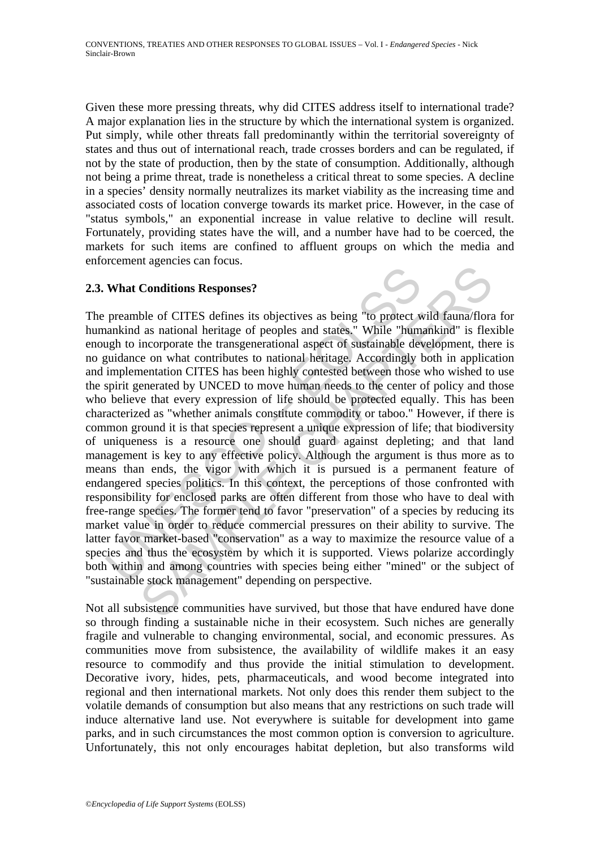Given these more pressing threats, why did CITES address itself to international trade? A major explanation lies in the structure by which the international system is organized. Put simply, while other threats fall predominantly within the territorial sovereignty of states and thus out of international reach, trade crosses borders and can be regulated, if not by the state of production, then by the state of consumption. Additionally, although not being a prime threat, trade is nonetheless a critical threat to some species. A decline in a species' density normally neutralizes its market viability as the increasing time and associated costs of location converge towards its market price. However, in the case of "status symbols," an exponential increase in value relative to decline will result. Fortunately, providing states have the will, and a number have had to be coerced, the markets for such items are confined to affluent groups on which the media and enforcement agencies can focus.

## **2.3. What Conditions Responses?**

What Conditions Responses?<br>
preamble of CITES defines its objectives as being "to protect wankind as national heritage of peoples and states." While "hum<br>
augh to incorporate the transgenerational aspect of sustainable dev Conditions Responses?<br>
ble of CITES defines its objectives as being "to protect wild fauna/flora<br>
las national heritage of peoples and states." While "humankind" is flex<br>
incorporate the transgenerational aspect of sustain The preamble of CITES defines its objectives as being "to protect wild fauna/flora for humankind as national heritage of peoples and states." While "humankind" is flexible enough to incorporate the transgenerational aspect of sustainable development, there is no guidance on what contributes to national heritage. Accordingly both in application and implementation CITES has been highly contested between those who wished to use the spirit generated by UNCED to move human needs to the center of policy and those who believe that every expression of life should be protected equally. This has been characterized as "whether animals constitute commodity or taboo." However, if there is common ground it is that species represent a unique expression of life; that biodiversity of uniqueness is a resource one should guard against depleting; and that land management is key to any effective policy. Although the argument is thus more as to means than ends, the vigor with which it is pursued is a permanent feature of endangered species politics. In this context, the perceptions of those confronted with responsibility for enclosed parks are often different from those who have to deal with free-range species. The former tend to favor "preservation" of a species by reducing its market value in order to reduce commercial pressures on their ability to survive. The latter favor market-based "conservation" as a way to maximize the resource value of a species and thus the ecosystem by which it is supported. Views polarize accordingly both within and among countries with species being either "mined" or the subject of "sustainable stock management" depending on perspective.

Not all subsistence communities have survived, but those that have endured have done so through finding a sustainable niche in their ecosystem. Such niches are generally fragile and vulnerable to changing environmental, social, and economic pressures. As communities move from subsistence, the availability of wildlife makes it an easy resource to commodify and thus provide the initial stimulation to development. Decorative ivory, hides, pets, pharmaceuticals, and wood become integrated into regional and then international markets. Not only does this render them subject to the volatile demands of consumption but also means that any restrictions on such trade will induce alternative land use. Not everywhere is suitable for development into game parks, and in such circumstances the most common option is conversion to agriculture. Unfortunately, this not only encourages habitat depletion, but also transforms wild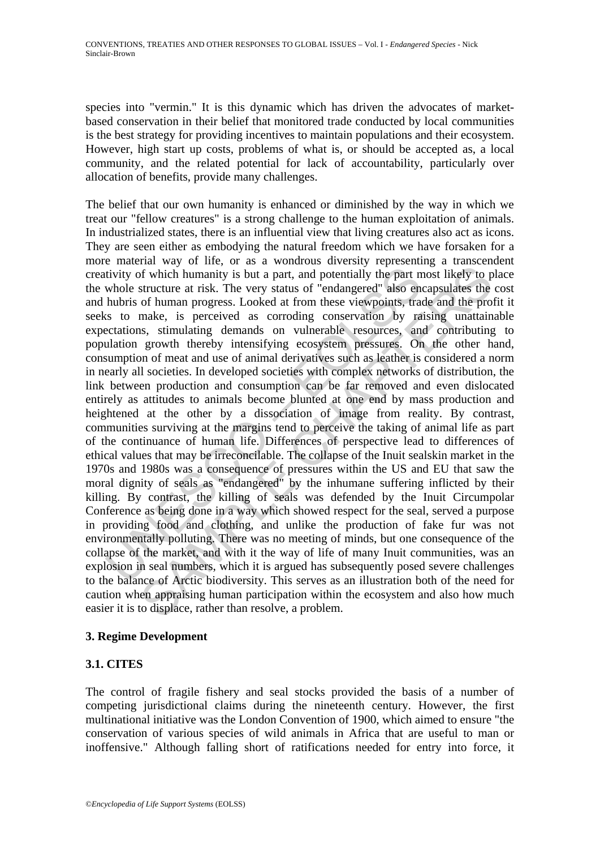species into "vermin." It is this dynamic which has driven the advocates of marketbased conservation in their belief that monitored trade conducted by local communities is the best strategy for providing incentives to maintain populations and their ecosystem. However, high start up costs, problems of what is, or should be accepted as, a local community, and the related potential for lack of accountability, particularly over allocation of benefits, provide many challenges.

tivity of which humanity is but a part, and potentially the part m<br>whole structure at risk. The very status of "endangered" also en<br>hubris of human progress. Looked at from these viewpoints, tra<br>as to make, is perceived as For the searce of human properation of the matter and solution at way of the matter and potentially it be part most likely to p structure at risk. The very status of "endangered" also encapsulates the of human progress. L The belief that our own humanity is enhanced or diminished by the way in which we treat our "fellow creatures" is a strong challenge to the human exploitation of animals. In industrialized states, there is an influential view that living creatures also act as icons. They are seen either as embodying the natural freedom which we have forsaken for a more material way of life, or as a wondrous diversity representing a transcendent creativity of which humanity is but a part, and potentially the part most likely to place the whole structure at risk. The very status of "endangered" also encapsulates the cost and hubris of human progress. Looked at from these viewpoints, trade and the profit it seeks to make, is perceived as corroding conservation by raising unattainable expectations, stimulating demands on vulnerable resources, and contributing to population growth thereby intensifying ecosystem pressures. On the other hand, consumption of meat and use of animal derivatives such as leather is considered a norm in nearly all societies. In developed societies with complex networks of distribution, the link between production and consumption can be far removed and even dislocated entirely as attitudes to animals become blunted at one end by mass production and heightened at the other by a dissociation of image from reality. By contrast, communities surviving at the margins tend to perceive the taking of animal life as part of the continuance of human life. Differences of perspective lead to differences of ethical values that may be irreconcilable. The collapse of the Inuit sealskin market in the 1970s and 1980s was a consequence of pressures within the US and EU that saw the moral dignity of seals as "endangered" by the inhumane suffering inflicted by their killing. By contrast, the killing of seals was defended by the Inuit Circumpolar Conference as being done in a way which showed respect for the seal, served a purpose in providing food and clothing, and unlike the production of fake fur was not environmentally polluting. There was no meeting of minds, but one consequence of the collapse of the market, and with it the way of life of many Inuit communities, was an explosion in seal numbers, which it is argued has subsequently posed severe challenges to the balance of Arctic biodiversity. This serves as an illustration both of the need for caution when appraising human participation within the ecosystem and also how much easier it is to displace, rather than resolve, a problem.

#### **3. Regime Development**

## **3.1. CITES**

The control of fragile fishery and seal stocks provided the basis of a number of competing jurisdictional claims during the nineteenth century. However, the first multinational initiative was the London Convention of 1900, which aimed to ensure "the conservation of various species of wild animals in Africa that are useful to man or inoffensive." Although falling short of ratifications needed for entry into force, it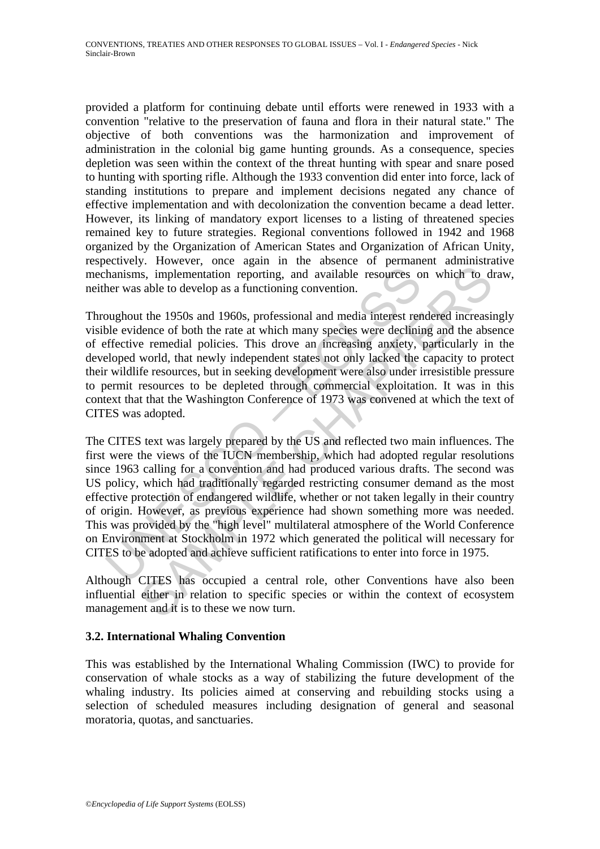provided a platform for continuing debate until efforts were renewed in 1933 with a convention "relative to the preservation of fauna and flora in their natural state." The objective of both conventions was the harmonization and improvement of administration in the colonial big game hunting grounds. As a consequence, species depletion was seen within the context of the threat hunting with spear and snare posed to hunting with sporting rifle. Although the 1933 convention did enter into force, lack of standing institutions to prepare and implement decisions negated any chance of effective implementation and with decolonization the convention became a dead letter. However, its linking of mandatory export licenses to a listing of threatened species remained key to future strategies. Regional conventions followed in 1942 and 1968 organized by the Organization of American States and Organization of African Unity, respectively. However, once again in the absence of permanent administrative mechanisms, implementation reporting, and available resources on which to draw, neither was able to develop as a functioning convention.

Throughout the 1950s and 1960s, professional and media interest rendered increasingly visible evidence of both the rate at which many species were declining and the absence of effective remedial policies. This drove an increasing anxiety, particularly in the developed world, that newly independent states not only lacked the capacity to protect their wildlife resources, but in seeking development were also under irresistible pressure to permit resources to be depleted through commercial exploitation. It was in this context that that the Washington Conference of 1973 was convened at which the text of CITES was adopted.

hanisms, implementation reporting, and available resources of<br>ther was able to develop as a functioning convention.<br>
Dughout the 1950s and 1960s, professional and media interest respectible<br>
evidence of both the rate at wh From the mean and account in the control of excellent and the control of eigens and applementation reporting, and available resources on which to d able to develop as a functioning convention.<br>
It the 1950s and 1960s, pro The CITES text was largely prepared by the US and reflected two main influences. The first were the views of the IUCN membership, which had adopted regular resolutions since 1963 calling for a convention and had produced various drafts. The second was US policy, which had traditionally regarded restricting consumer demand as the most effective protection of endangered wildlife, whether or not taken legally in their country of origin. However, as previous experience had shown something more was needed. This was provided by the "high level" multilateral atmosphere of the World Conference on Environment at Stockholm in 1972 which generated the political will necessary for CITES to be adopted and achieve sufficient ratifications to enter into force in 1975.

Although CITES has occupied a central role, other Conventions have also been influential either in relation to specific species or within the context of ecosystem management and it is to these we now turn.

#### **3.2. International Whaling Convention**

This was established by the International Whaling Commission (IWC) to provide for conservation of whale stocks as a way of stabilizing the future development of the whaling industry. Its policies aimed at conserving and rebuilding stocks using a selection of scheduled measures including designation of general and seasonal moratoria, quotas, and sanctuaries.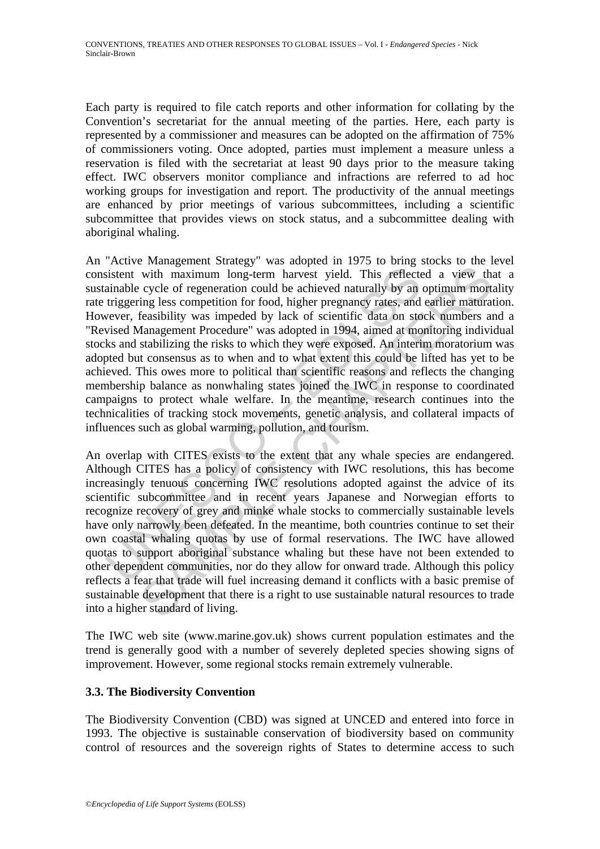Each party is required to file catch reports and other information for collating by the Convention's secretariat for the annual meeting of the parties. Here, each party is represented by a commissioner and measures can be adopted on the affirmation of 75% of commissioners voting. Once adopted, parties must implement a measure unless a reservation is filed with the secretariat at least 90 days prior to the measure taking effect. IWC observers monitor compliance and infractions are referred to ad hoc working groups for investigation and report. The productivity of the annual meetings are enhanced by prior meetings of various subcommittees, including a scientific subcommittee that provides views on stock status, and a subcommittee dealing with aboriginal whaling.

sistent with maximum long-term harvest yield. This reflect<br>ainable cycle of regeneration could be achieved naturally by an<br>triggering less competition for food, higher pregnancy rates, and<br>evere, feasibility was impeded by vith maximum long-term harvest yield. This reflected a view the cycle of regeneration could be achieved naturally by an optimum morting less competition for food, higher pregnang rates, and earlier mattraating freasibilit An "Active Management Strategy" was adopted in 1975 to bring stocks to the level consistent with maximum long-term harvest yield. This reflected a view that a sustainable cycle of regeneration could be achieved naturally by an optimum mortality rate triggering less competition for food, higher pregnancy rates, and earlier maturation. However, feasibility was impeded by lack of scientific data on stock numbers and a "Revised Management Procedure" was adopted in 1994, aimed at monitoring individual stocks and stabilizing the risks to which they were exposed. An interim moratorium was adopted but consensus as to when and to what extent this could be lifted has yet to be achieved. This owes more to political than scientific reasons and reflects the changing membership balance as nonwhaling states joined the IWC in response to coordinated campaigns to protect whale welfare. In the meantime, research continues into the technicalities of tracking stock movements, genetic analysis, and collateral impacts of influences such as global warming, pollution, and tourism.

An overlap with CITES exists to the extent that any whale species are endangered. Although CITES has a policy of consistency with IWC resolutions, this has become increasingly tenuous concerning IWC resolutions adopted against the advice of its scientific subcommittee and in recent years Japanese and Norwegian efforts to recognize recovery of grey and minke whale stocks to commercially sustainable levels have only narrowly been defeated. In the meantime, both countries continue to set their own coastal whaling quotas by use of formal reservations. The IWC have allowed quotas to support aboriginal substance whaling but these have not been extended to other dependent communities, nor do they allow for onward trade. Although this policy reflects a fear that trade will fuel increasing demand it conflicts with a basic premise of sustainable development that there is a right to use sustainable natural resources to trade into a higher standard of living.

The IWC web site (www.marine.gov.uk) shows current population estimates and the trend is generally good with a number of severely depleted species showing signs of improvement. However, some regional stocks remain extremely vulnerable.

#### **3.3. The Biodiversity Convention**

The Biodiversity Convention (CBD) was signed at UNCED and entered into force in 1993. The objective is sustainable conservation of biodiversity based on community control of resources and the sovereign rights of States to determine access to such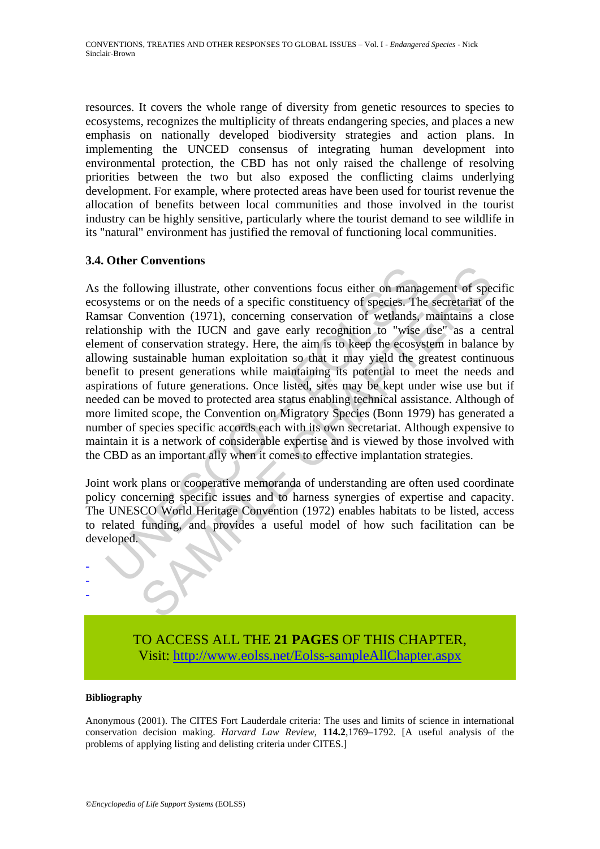resources. It covers the whole range of diversity from genetic resources to species to ecosystems, recognizes the multiplicity of threats endangering species, and places a new emphasis on nationally developed biodiversity strategies and action plans. In implementing the UNCED consensus of integrating human development into environmental protection, the CBD has not only raised the challenge of resolving priorities between the two but also exposed the conflicting claims underlying development. For example, where protected areas have been used for tourist revenue the allocation of benefits between local communities and those involved in the tourist industry can be highly sensitive, particularly where the tourist demand to see wildlife in its "natural" environment has justified the removal of functioning local communities.

### **3.4. Other Conventions**

Final Proposition in the IUCN and gave entity of species and provided for the following illustrate, other conventions focus either on manary stransar Convention (1971), concerning conservation of weilands, then UUCN and ga conventions.<br>
Conventions focus either on management of specificant conventions focus either on management of specifical<br>
convention (1971), concerning conservation of wetlands, maintains a c<br>
p with the IUCN and gave earl As the following illustrate, other conventions focus either on management of specific ecosystems or on the needs of a specific constituency of species. The secretariat of the Ramsar Convention (1971), concerning conservation of wetlands, maintains a close relationship with the IUCN and gave early recognition to "wise use" as a central element of conservation strategy. Here, the aim is to keep the ecosystem in balance by allowing sustainable human exploitation so that it may yield the greatest continuous benefit to present generations while maintaining its potential to meet the needs and aspirations of future generations. Once listed, sites may be kept under wise use but if needed can be moved to protected area status enabling technical assistance. Although of more limited scope, the Convention on Migratory Species (Bonn 1979) has generated a number of species specific accords each with its own secretariat. Although expensive to maintain it is a network of considerable expertise and is viewed by those involved with the CBD as an important ally when it comes to effective implantation strategies.

Joint work plans or cooperative memoranda of understanding are often used coordinate policy concerning specific issues and to harness synergies of expertise and capacity. The UNESCO World Heritage Convention (1972) enables habitats to be listed, access to related funding, and provides a useful model of how such facilitation can be developed.

> TO ACCESS ALL THE **21 PAGES** OF THIS CHAPTER, Visit[: http://www.eolss.net/Eolss-sampleAllChapter.aspx](https://www.eolss.net/ebooklib/sc_cart.aspx?File=E1-44-02-01)

#### **Bibliography**

- - -

Anonymous (2001). The CITES Fort Lauderdale criteria: The uses and limits of science in international conservation decision making. *Harvard Law Review*, **114.2**,1769–1792. [A useful analysis of the problems of applying listing and delisting criteria under CITES.]